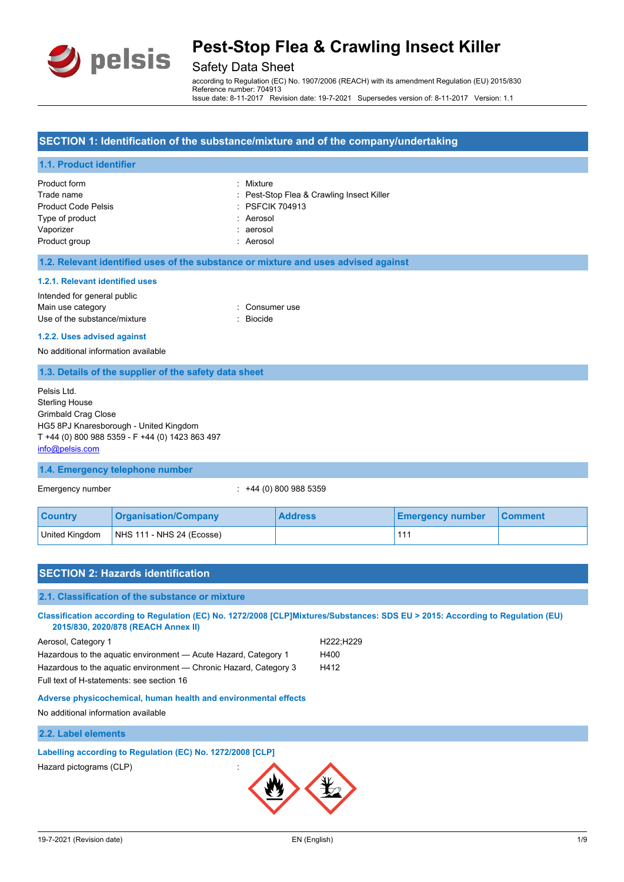

## Safety Data Sheet

according to Regulation (EC) No. 1907/2006 (REACH) with its amendment Regulation (EU) 2015/830 Reference number: 704913 Issue date: 8-11-2017 Revision date: 19-7-2021 Supersedes version of: 8-11-2017 Version: 1.1

#### **SECTION 1: Identification of the substance/mixture and of the company/undertaking**

#### **1.1. Product identifier**

| Product form               | : Mixture                                 |
|----------------------------|-------------------------------------------|
| Trade name                 | : Pest-Stop Flea & Crawling Insect Killer |
| <b>Product Code Pelsis</b> | : PSFCIK 704913                           |
| Type of product            | : Aerosol                                 |
| Vaporizer                  | : aerosol                                 |
| Product group              | : Aerosol                                 |

#### **1.2. Relevant identified uses of the substance or mixture and uses advised against**

#### **1.2.1. Relevant identified uses**

#### Intended for general public

| Main use category            | : Consumer use |
|------------------------------|----------------|
| Use of the substance/mixture | : Biocide      |

#### **1.2.2. Uses advised against**

No additional information available

### **1.3. Details of the supplier of the safety data sheet**

Pelsis Ltd. Sterling House Grimbald Crag Close HG5 8PJ Knaresborough - United Kingdom T +44 (0) 800 988 5359 - F +44 (0) 1423 863 497 [info@pelsis.com](mailto:info@pelsis.com)

#### **1.4. Emergency telephone number**

Emergency number : +44 (0) 800 988 5359

| <b>Country</b> | <b>Organisation/Company</b> | <b>Address</b> | <b>Emergency number</b> | <b>Comment</b> |
|----------------|-----------------------------|----------------|-------------------------|----------------|
| United Kingdom | $NHS$ 111 - NHS 24 (Ecosse) |                |                         |                |

| <b>SECTION 2: Hazards identification</b>                                                                                                                               |                     |
|------------------------------------------------------------------------------------------------------------------------------------------------------------------------|---------------------|
| 2.1. Classification of the substance or mixture                                                                                                                        |                     |
| Classification according to Regulation (EC) No. 1272/2008 [CLP]Mixtures/Substances: SDS EU > 2015: According to Regulation (EU)<br>2015/830, 2020/878 (REACH Annex II) |                     |
| Aerosol, Category 1                                                                                                                                                    | H222;H229           |
| Hazardous to the aquatic environment - Acute Hazard, Category 1                                                                                                        | H400                |
| Hazardous to the aquatic environment — Chronic Hazard, Category 3                                                                                                      | H412                |
| Full text of H-statements: see section 16                                                                                                                              |                     |
| Adverse physicochemical, human health and environmental effects                                                                                                        |                     |
| No additional information available                                                                                                                                    |                     |
| 2.2. Label elements                                                                                                                                                    |                     |
| Labelling according to Regulation (EC) No. 1272/2008 [CLP]                                                                                                             |                     |
| Hazard pictograms (CLP)                                                                                                                                                |                     |
| 19-7-2021 (Revision date)                                                                                                                                              | EN (English)<br>1/9 |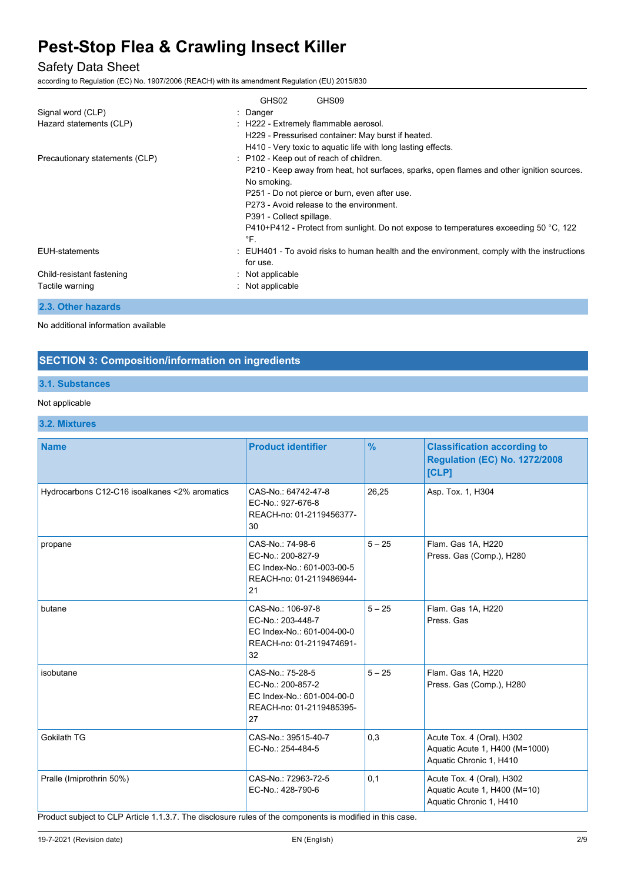## Safety Data Sheet

according to Regulation (EC) No. 1907/2006 (REACH) with its amendment Regulation (EU) 2015/830

|                                | GHS02<br>GHS09                                                                                                  |  |  |  |
|--------------------------------|-----------------------------------------------------------------------------------------------------------------|--|--|--|
| Signal word (CLP)              | : Danger                                                                                                        |  |  |  |
| Hazard statements (CLP)        | : H222 - Extremely flammable aerosol.<br>H229 - Pressurised container: May burst if heated.                     |  |  |  |
|                                |                                                                                                                 |  |  |  |
|                                | H410 - Very toxic to aquatic life with long lasting effects.                                                    |  |  |  |
| Precautionary statements (CLP) | : P102 - Keep out of reach of children.                                                                         |  |  |  |
|                                | P210 - Keep away from heat, hot surfaces, sparks, open flames and other ignition sources.                       |  |  |  |
|                                | No smoking.                                                                                                     |  |  |  |
|                                | P251 - Do not pierce or burn, even after use.                                                                   |  |  |  |
|                                | P273 - Avoid release to the environment.                                                                        |  |  |  |
|                                | P391 - Collect spillage.                                                                                        |  |  |  |
|                                | P410+P412 - Protect from sunlight. Do not expose to temperatures exceeding 50 $^{\circ}$ C, 122<br>$\degree$ F. |  |  |  |
| EUH-statements                 | : EUH401 - To avoid risks to human health and the environment, comply with the instructions                     |  |  |  |
|                                | for use.                                                                                                        |  |  |  |
| Child-resistant fastening      | $:$ Not applicable                                                                                              |  |  |  |
| Tactile warning                | : Not applicable                                                                                                |  |  |  |
| 2.3. Other hazards             |                                                                                                                 |  |  |  |

No additional information available

### **SECTION 3: Composition/information on ingredients**

### **3.1. Substances**

#### Not applicable

**3.2. Mixtures**

| $\frac{9}{6}$<br><b>Name</b><br><b>Product identifier</b>                                                                   |          | <b>Classification according to</b><br><b>Regulation (EC) No. 1272/2008</b>             |
|-----------------------------------------------------------------------------------------------------------------------------|----------|----------------------------------------------------------------------------------------|
|                                                                                                                             |          | [CLP]                                                                                  |
| Hydrocarbons C12-C16 isoalkanes <2% aromatics<br>CAS-No.: 64742-47-8<br>EC-No.: 927-676-8<br>REACH-no: 01-2119456377-<br>30 | 26,25    | Asp. Tox. 1, H304                                                                      |
| CAS-No.: 74-98-6<br>propane<br>EC-No.: 200-827-9<br>EC Index-No.: 601-003-00-5<br>REACH-no: 01-2119486944-<br>21            | $5 - 25$ | Flam. Gas 1A, H220<br>Press. Gas (Comp.), H280                                         |
| CAS-No.: 106-97-8<br>butane<br>EC-No.: 203-448-7<br>EC Index-No.: 601-004-00-0<br>REACH-no: 01-2119474691-<br>32            | $5 - 25$ | Flam. Gas 1A, H220<br>Press, Gas                                                       |
| CAS-No.: 75-28-5<br>isobutane<br>EC-No.: 200-857-2<br>EC Index-No.: 601-004-00-0<br>REACH-no: 01-2119485395-<br>27          | $5 - 25$ | Flam. Gas 1A, H220<br>Press. Gas (Comp.), H280                                         |
| Gokilath TG<br>CAS-No.: 39515-40-7<br>EC-No.: 254-484-5                                                                     | 0,3      | Acute Tox. 4 (Oral), H302<br>Aquatic Acute 1, H400 (M=1000)<br>Aquatic Chronic 1, H410 |
| Pralle (Imiprothrin 50%)<br>CAS-No.: 72963-72-5<br>0,1<br>EC-No.: 428-790-6                                                 |          | Acute Tox. 4 (Oral), H302<br>Aquatic Acute 1, H400 (M=10)<br>Aquatic Chronic 1, H410   |

Product subject to CLP Article 1.1.3.7. The disclosure rules of the components is modified in this case.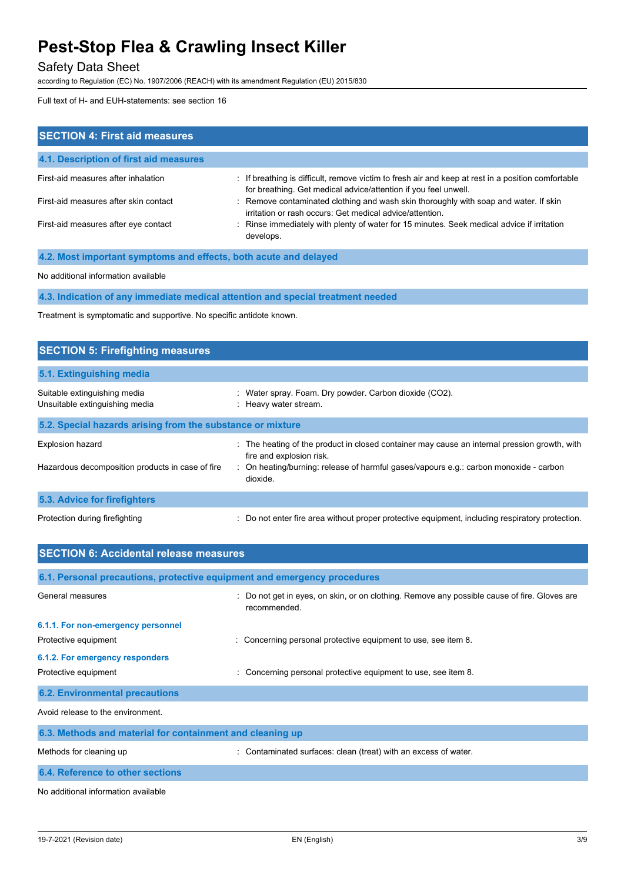## Safety Data Sheet

according to Regulation (EC) No. 1907/2006 (REACH) with its amendment Regulation (EU) 2015/830

Full text of H- and EUH-statements: see section 16

| <b>SECTION 4: First aid measures</b>                                                                                                            |                                                                                                                                                                       |  |  |
|-------------------------------------------------------------------------------------------------------------------------------------------------|-----------------------------------------------------------------------------------------------------------------------------------------------------------------------|--|--|
| 4.1. Description of first aid measures                                                                                                          |                                                                                                                                                                       |  |  |
| First-aid measures after inhalation                                                                                                             | : If breathing is difficult, remove victim to fresh air and keep at rest in a position comfortable<br>for breathing. Get medical advice/attention if you feel unwell. |  |  |
| First-aid measures after skin contact                                                                                                           | : Remove contaminated clothing and wash skin thoroughly with soap and water. If skin<br>irritation or rash occurs: Get medical advice/attention.                      |  |  |
| First-aid measures after eye contact<br>: Rinse immediately with plenty of water for 15 minutes. Seek medical advice if irritation<br>develops. |                                                                                                                                                                       |  |  |
| 4.2. Most important symptoms and effects, both acute and delayed                                                                                |                                                                                                                                                                       |  |  |

No additional information available

**4.3. Indication of any immediate medical attention and special treatment needed**

Treatment is symptomatic and supportive. No specific antidote known.

| <b>SECTION 5: Firefighting measures</b>                        |                                                                                                                        |
|----------------------------------------------------------------|------------------------------------------------------------------------------------------------------------------------|
| 5.1. Extinguishing media                                       |                                                                                                                        |
| Suitable extinguishing media<br>Unsuitable extinguishing media | Water spray. Foam. Dry powder. Carbon dioxide (CO2).<br>: Heavy water stream.                                          |
| 5.2. Special hazards arising from the substance or mixture     |                                                                                                                        |
| <b>Explosion hazard</b>                                        | The heating of the product in closed container may cause an internal pression growth, with<br>fire and explosion risk. |
| Hazardous decomposition products in case of fire               | : On heating/burning: release of harmful gases/vapours e.g.: carbon monoxide - carbon<br>dioxide.                      |
| 5.3. Advice for firefighters                                   |                                                                                                                        |
| Protection during firefighting                                 | : Do not enter fire area without proper protective equipment, including respiratory protection.                        |

| <b>SECTION 6: Accidental release measures</b>                            |                                                                                                            |
|--------------------------------------------------------------------------|------------------------------------------------------------------------------------------------------------|
| 6.1. Personal precautions, protective equipment and emergency procedures |                                                                                                            |
| General measures                                                         | Do not get in eyes, on skin, or on clothing. Remove any possible cause of fire. Gloves are<br>recommended. |
| 6.1.1. For non-emergency personnel                                       |                                                                                                            |
| Protective equipment                                                     | : Concerning personal protective equipment to use, see item 8.                                             |
| 6.1.2. For emergency responders                                          |                                                                                                            |
| Protective equipment                                                     | Concerning personal protective equipment to use, see item 8.                                               |
| <b>6.2. Environmental precautions</b>                                    |                                                                                                            |
| Avoid release to the environment.                                        |                                                                                                            |
| 6.3. Methods and material for containment and cleaning up                |                                                                                                            |
| Methods for cleaning up                                                  | : Contaminated surfaces: clean (treat) with an excess of water.                                            |
| 6.4. Reference to other sections                                         |                                                                                                            |

No additional information available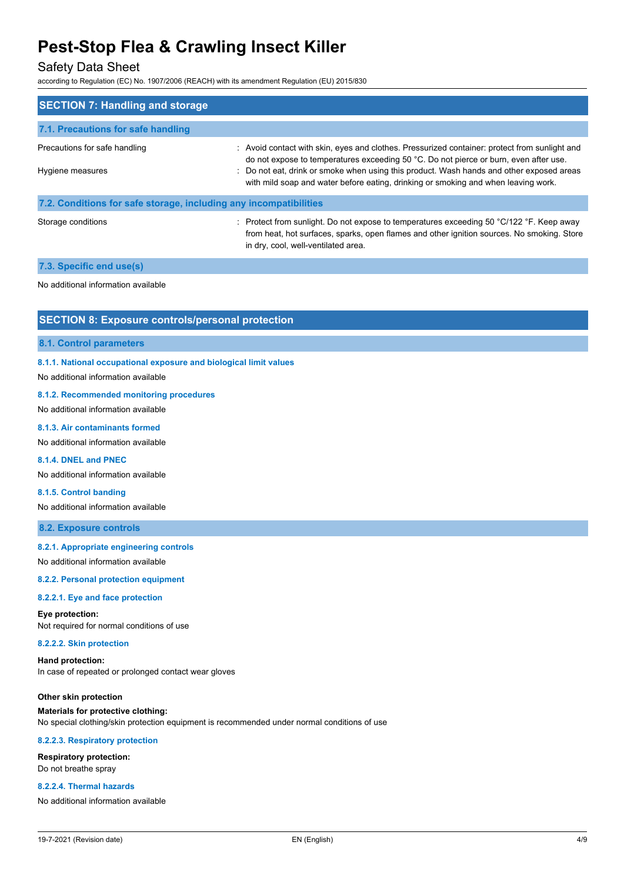### Safety Data Sheet

according to Regulation (EC) No. 1907/2006 (REACH) with its amendment Regulation (EU) 2015/830

| <b>SECTION 7: Handling and storage</b>                            |                                                                                                                                                                                        |  |  |  |
|-------------------------------------------------------------------|----------------------------------------------------------------------------------------------------------------------------------------------------------------------------------------|--|--|--|
| 7.1. Precautions for safe handling                                |                                                                                                                                                                                        |  |  |  |
| Precautions for safe handling                                     | : Avoid contact with skin, eyes and clothes. Pressurized container: protect from sunlight and<br>do not expose to temperatures exceeding 50 °C. Do not pierce or burn, even after use. |  |  |  |
| Hygiene measures                                                  | : Do not eat, drink or smoke when using this product. Wash hands and other exposed areas<br>with mild soap and water before eating, drinking or smoking and when leaving work.         |  |  |  |
| 7.2. Conditions for safe storage, including any incompatibilities |                                                                                                                                                                                        |  |  |  |
| Storage conditions                                                | : Protect from sunlight. Do not expose to temperatures exceeding 50 $^{\circ}$ C/122 $^{\circ}$ F. Keep away                                                                           |  |  |  |

in dry, cool, well-ventilated area.

from heat, hot surfaces, sparks, open flames and other ignition sources. No smoking. Store

#### **7.3. Specific end use(s)**

No additional information available

### **SECTION 8: Exposure controls/personal protection**

#### **8.1. Control parameters**

#### **8.1.1. National occupational exposure and biological limit values**

No additional information available

#### **8.1.2. Recommended monitoring procedures**

No additional information available

#### **8.1.3. Air contaminants formed**

No additional information available

#### **8.1.4. DNEL and PNEC**

No additional information available

#### **8.1.5. Control banding**

No additional information available

#### **8.2. Exposure controls**

#### **8.2.1. Appropriate engineering controls**

No additional information available

#### **8.2.2. Personal protection equipment**

#### **8.2.2.1. Eye and face protection**

**Eye protection:** Not required for normal conditions of use

#### **8.2.2.2. Skin protection**

**Hand protection:** In case of repeated or prolonged contact wear gloves

**Other skin protection Materials for protective clothing:** No special clothing/skin protection equipment is recommended under normal conditions of use

#### **8.2.2.3. Respiratory protection**

**Respiratory protection:** Do not breathe spray

#### **8.2.2.4. Thermal hazards**

No additional information available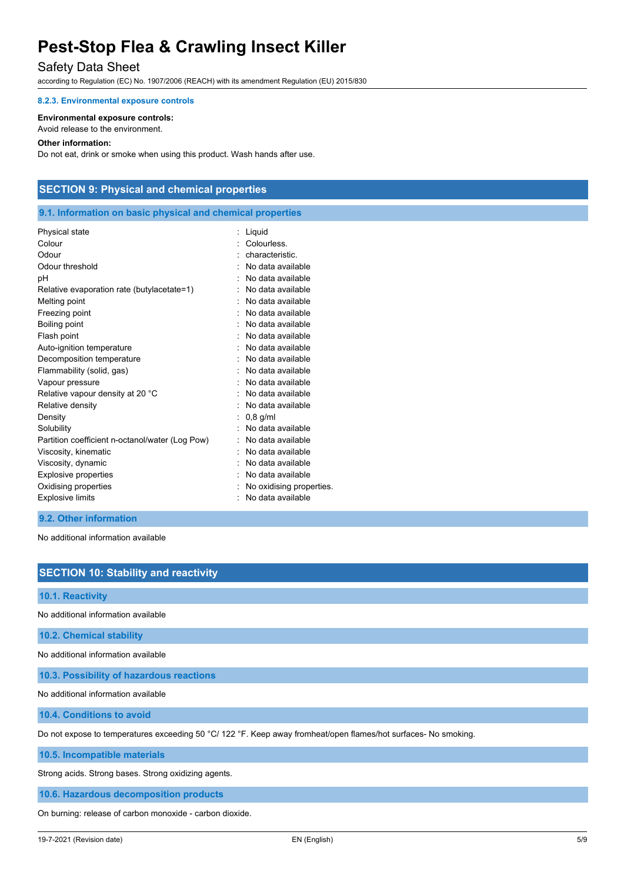## Safety Data Sheet

according to Regulation (EC) No. 1907/2006 (REACH) with its amendment Regulation (EU) 2015/830

#### **8.2.3. Environmental exposure controls**

#### **Environmental exposure controls:**

Avoid release to the environment.

#### **Other information:**

Do not eat, drink or smoke when using this product. Wash hands after use.

### **SECTION 9: Physical and chemical properties**

### **9.1. Information on basic physical and chemical properties**

| Physical state                                  | Liquid                   |
|-------------------------------------------------|--------------------------|
| Colour                                          | Colourless.              |
| Odour                                           | characteristic.          |
| Odour threshold                                 | No data available        |
| рH                                              | No data available        |
| Relative evaporation rate (butylacetate=1)      | No data available        |
| Melting point                                   | No data available        |
| Freezing point                                  | No data available        |
| Boiling point                                   | No data available        |
| Flash point                                     | No data available        |
| Auto-ignition temperature                       | No data available        |
| Decomposition temperature                       | No data available        |
| Flammability (solid, gas)                       | No data available        |
| Vapour pressure                                 | No data available        |
| Relative vapour density at 20 °C                | No data available        |
| Relative density                                | No data available        |
| Density                                         | $0,8$ g/ml               |
| Solubility                                      | No data available        |
| Partition coefficient n-octanol/water (Log Pow) | No data available        |
| Viscosity, kinematic                            | No data available        |
| Viscosity, dynamic                              | No data available        |
| <b>Explosive properties</b>                     | No data available        |
| Oxidising properties                            | No oxidising properties. |
| <b>Explosive limits</b>                         | No data available        |
|                                                 |                          |

#### **9.2. Other information**

No additional information available

## **SECTION 10: Stability and reactivity**

**10.1. Reactivity**

No additional information available

**10.2. Chemical stability**

No additional information available

**10.3. Possibility of hazardous reactions**

No additional information available

**10.4. Conditions to avoid**

Do not expose to temperatures exceeding 50 °C/ 122 °F. Keep away fromheat/open flames/hot surfaces- No smoking.

**10.5. Incompatible materials**

Strong acids. Strong bases. Strong oxidizing agents.

**10.6. Hazardous decomposition products**

On burning: release of carbon monoxide - carbon dioxide.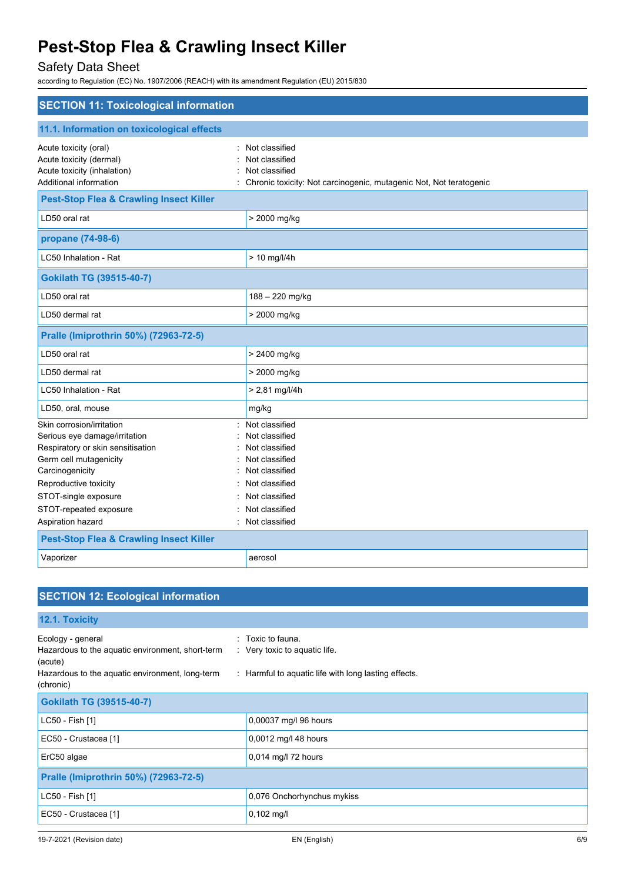## Safety Data Sheet

according to Regulation (EC) No. 1907/2006 (REACH) with its amendment Regulation (EU) 2015/830

| <b>SECTION 11: Toxicological information</b>                                                                                                                                                                                                 |                                                                                                                                                                  |  |
|----------------------------------------------------------------------------------------------------------------------------------------------------------------------------------------------------------------------------------------------|------------------------------------------------------------------------------------------------------------------------------------------------------------------|--|
| 11.1. Information on toxicological effects                                                                                                                                                                                                   |                                                                                                                                                                  |  |
| Acute toxicity (oral)<br>Acute toxicity (dermal)<br>Acute toxicity (inhalation)<br>Additional information                                                                                                                                    | Not classified<br>Not classified<br>Not classified<br>: Chronic toxicity: Not carcinogenic, mutagenic Not, Not teratogenic                                       |  |
| <b>Pest-Stop Flea &amp; Crawling Insect Killer</b>                                                                                                                                                                                           |                                                                                                                                                                  |  |
| LD50 oral rat                                                                                                                                                                                                                                | > 2000 mg/kg                                                                                                                                                     |  |
| propane (74-98-6)                                                                                                                                                                                                                            |                                                                                                                                                                  |  |
| LC50 Inhalation - Rat                                                                                                                                                                                                                        | > 10 mg/l/4h                                                                                                                                                     |  |
| <b>Gokilath TG (39515-40-7)</b>                                                                                                                                                                                                              |                                                                                                                                                                  |  |
| LD50 oral rat                                                                                                                                                                                                                                | 188 - 220 mg/kg                                                                                                                                                  |  |
| LD50 dermal rat                                                                                                                                                                                                                              | > 2000 mg/kg                                                                                                                                                     |  |
| Pralle (Imiprothrin 50%) (72963-72-5)                                                                                                                                                                                                        |                                                                                                                                                                  |  |
| LD50 oral rat                                                                                                                                                                                                                                | > 2400 mg/kg                                                                                                                                                     |  |
| LD50 dermal rat                                                                                                                                                                                                                              | > 2000 mg/kg                                                                                                                                                     |  |
| LC50 Inhalation - Rat                                                                                                                                                                                                                        | $> 2,81$ mg/l/4h                                                                                                                                                 |  |
| LD50, oral, mouse                                                                                                                                                                                                                            | mg/kg                                                                                                                                                            |  |
| Skin corrosion/irritation<br>Serious eye damage/irritation<br>Respiratory or skin sensitisation<br>Germ cell mutagenicity<br>Carcinogenicity<br>Reproductive toxicity<br>STOT-single exposure<br>STOT-repeated exposure<br>Aspiration hazard | Not classified<br>Not classified<br>Not classified<br>Not classified<br>Not classified<br>Not classified<br>Not classified<br>Not classified<br>: Not classified |  |
| <b>Pest-Stop Flea &amp; Crawling Insect Killer</b>                                                                                                                                                                                           |                                                                                                                                                                  |  |
| Vaporizer                                                                                                                                                                                                                                    | aerosol                                                                                                                                                          |  |

| <b>SECTION 12: Ecological information</b>                                                                                                        |                                                                                                                         |  |
|--------------------------------------------------------------------------------------------------------------------------------------------------|-------------------------------------------------------------------------------------------------------------------------|--|
| 12.1. Toxicity                                                                                                                                   |                                                                                                                         |  |
| Ecology - general<br>Hazardous to the aquatic environment, short-term<br>(acute)<br>Hazardous to the aquatic environment, long-term<br>(chronic) | $:$ Toxic to fauna.<br>$\therefore$ Very toxic to aquatic life.<br>: Harmful to aquatic life with long lasting effects. |  |
| <b>Gokilath TG (39515-40-7)</b>                                                                                                                  |                                                                                                                         |  |
| LC50 - Fish [1]                                                                                                                                  | 0,00037 mg/l 96 hours                                                                                                   |  |
| EC50 - Crustacea [1]                                                                                                                             | 0,0012 mg/l 48 hours                                                                                                    |  |
| ErC50 algae                                                                                                                                      | 0,014 mg/l 72 hours                                                                                                     |  |
| Pralle (Imiprothrin 50%) (72963-72-5)                                                                                                            |                                                                                                                         |  |
| LC50 - Fish [1]                                                                                                                                  | 0,076 Onchorhynchus mykiss                                                                                              |  |
| EC50 - Crustacea [1]                                                                                                                             | $0,102$ mg/l                                                                                                            |  |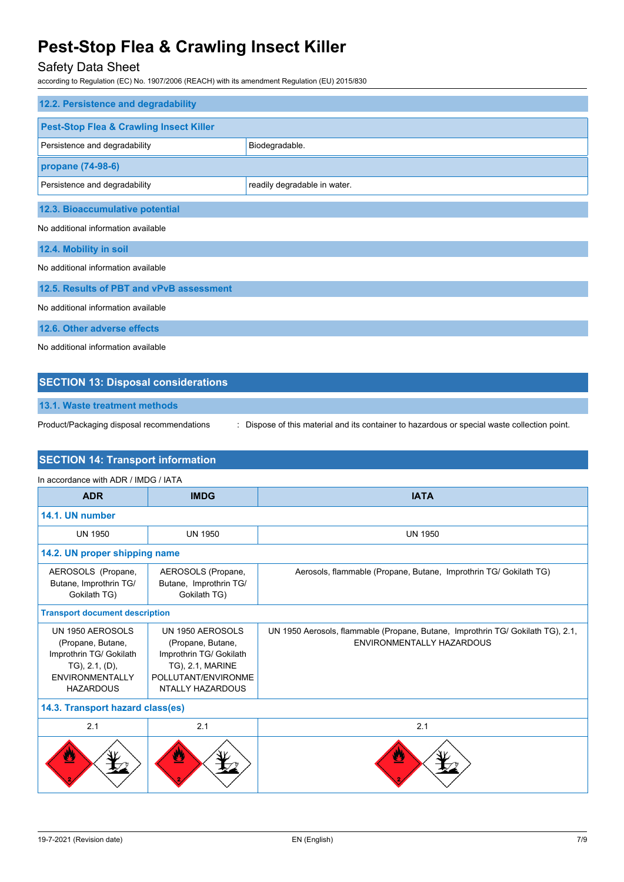## Safety Data Sheet

according to Regulation (EC) No. 1907/2006 (REACH) with its amendment Regulation (EU) 2015/830

| 12.2. Persistence and degradability                |                              |  |
|----------------------------------------------------|------------------------------|--|
|                                                    |                              |  |
| <b>Pest-Stop Flea &amp; Crawling Insect Killer</b> |                              |  |
| Persistence and degradability                      | Biodegradable.               |  |
| propane (74-98-6)                                  |                              |  |
| Persistence and degradability                      | readily degradable in water. |  |
| 12.3. Bioaccumulative potential                    |                              |  |
| No additional information available                |                              |  |
| 12.4. Mobility in soil                             |                              |  |
| No additional information available                |                              |  |
| 12.5. Results of PBT and vPvB assessment           |                              |  |
| No additional information available                |                              |  |
| 12.6. Other adverse effects                        |                              |  |
| No additional information available                |                              |  |

## **SECTION 13: Disposal considerations**

**13.1. Waste treatment methods**

Product/Packaging disposal recommendations : Dispose of this material and its container to hazardous or special waste collection point.

### **SECTION 14: Transport information**

| In accordance with ADR / IMDG / IATA                                                                                             |                                                                                                                                        |                                                                                                              |  |
|----------------------------------------------------------------------------------------------------------------------------------|----------------------------------------------------------------------------------------------------------------------------------------|--------------------------------------------------------------------------------------------------------------|--|
| <b>ADR</b>                                                                                                                       | <b>IMDG</b>                                                                                                                            | <b>IATA</b>                                                                                                  |  |
| 14.1. UN number                                                                                                                  |                                                                                                                                        |                                                                                                              |  |
| <b>UN 1950</b>                                                                                                                   | <b>UN 1950</b>                                                                                                                         | <b>UN 1950</b>                                                                                               |  |
| 14.2. UN proper shipping name                                                                                                    |                                                                                                                                        |                                                                                                              |  |
| AEROSOLS (Propane,<br>Butane, Improthrin TG/<br>Gokilath TG)                                                                     | AEROSOLS (Propane,<br>Butane, Improthrin TG/<br>Gokilath TG)                                                                           | Aerosols, flammable (Propane, Butane, Improthrin TG/ Gokilath TG)                                            |  |
| <b>Transport document description</b>                                                                                            |                                                                                                                                        |                                                                                                              |  |
| UN 1950 AEROSOLS<br>(Propane, Butane,<br>Improthrin TG/ Gokilath<br>TG), 2.1, (D),<br><b>ENVIRONMENTALLY</b><br><b>HAZARDOUS</b> | UN 1950 AEROSOLS<br>(Propane, Butane,<br>Improthrin TG/ Gokilath<br><b>TG), 2.1, MARINE</b><br>POLLUTANT/ENVIRONME<br>NTALLY HAZARDOUS | UN 1950 Aerosols, flammable (Propane, Butane, Improthrin TG/ Gokilath TG), 2.1,<br>ENVIRONMENTALLY HAZARDOUS |  |
| 14.3. Transport hazard class(es)                                                                                                 |                                                                                                                                        |                                                                                                              |  |
| 2.1                                                                                                                              | 2.1                                                                                                                                    | 2.1                                                                                                          |  |
| $\mathbf{z}$                                                                                                                     | Δ                                                                                                                                      |                                                                                                              |  |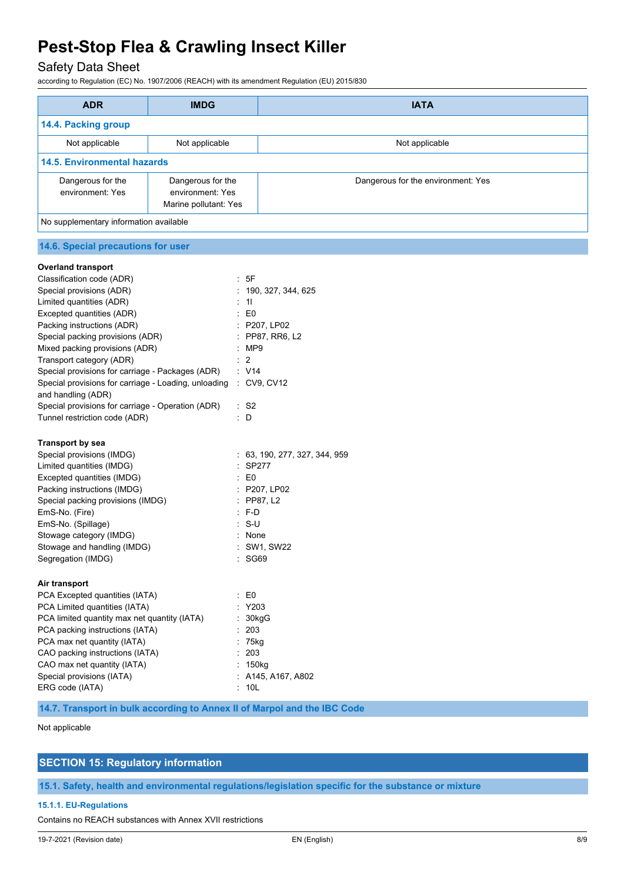Safety Data Sheet

according to Regulation (EC) No. 1907/2006 (REACH) with its amendment Regulation (EU) 2015/830

| <b>ADR</b>                                                                             | <b>IMDG</b>                           | <b>IATA</b>                                                              |
|----------------------------------------------------------------------------------------|---------------------------------------|--------------------------------------------------------------------------|
| 14.4. Packing group                                                                    |                                       |                                                                          |
| Not applicable                                                                         | Not applicable                        | Not applicable                                                           |
| <b>14.5. Environmental hazards</b>                                                     |                                       |                                                                          |
| Dangerous for the<br>environment: Yes                                                  | Dangerous for the<br>environment: Yes | Dangerous for the environment: Yes                                       |
|                                                                                        | Marine pollutant: Yes                 |                                                                          |
| No supplementary information available                                                 |                                       |                                                                          |
| 14.6. Special precautions for user                                                     |                                       |                                                                          |
| <b>Overland transport</b>                                                              |                                       |                                                                          |
| Classification code (ADR)                                                              |                                       | : 5F                                                                     |
| Special provisions (ADR)                                                               |                                       | : 190, 327, 344, 625                                                     |
| Limited quantities (ADR)                                                               |                                       | : 11                                                                     |
| Excepted quantities (ADR)                                                              |                                       | : E0                                                                     |
| Packing instructions (ADR)                                                             |                                       | : P207, LP02                                                             |
| Special packing provisions (ADR)                                                       |                                       | : PP87, RR6, L2                                                          |
| Mixed packing provisions (ADR)                                                         |                                       | MP9                                                                      |
| Transport category (ADR)                                                               |                                       | $\cdot$ 2                                                                |
| Special provisions for carriage - Packages (ADR)                                       |                                       | : V14                                                                    |
|                                                                                        |                                       |                                                                          |
| Special provisions for carriage - Loading, unloading : CV9, CV12<br>and handling (ADR) |                                       |                                                                          |
| Special provisions for carriage - Operation (ADR)                                      |                                       | $\therefore$ S2                                                          |
| Tunnel restriction code (ADR)                                                          |                                       | : D                                                                      |
| <b>Transport by sea</b>                                                                |                                       |                                                                          |
| Special provisions (IMDG)                                                              |                                       | : 63, 190, 277, 327, 344, 959                                            |
| Limited quantities (IMDG)                                                              |                                       | $\therefore$ SP277                                                       |
| Excepted quantities (IMDG)                                                             |                                       | : E0                                                                     |
| Packing instructions (IMDG)                                                            |                                       | : P207, LP02                                                             |
| Special packing provisions (IMDG)                                                      |                                       | $:$ PP87, L2                                                             |
| EmS-No. (Fire)                                                                         |                                       | : F-D                                                                    |
|                                                                                        |                                       |                                                                          |
| EmS-No. (Spillage)                                                                     |                                       | -S-U                                                                     |
| Stowage category (IMDG)                                                                |                                       | None                                                                     |
| Stowage and handling (IMDG)<br>Segregation (IMDG)                                      |                                       | : SW1, SW22<br>SG69                                                      |
|                                                                                        |                                       |                                                                          |
| Air transport                                                                          |                                       |                                                                          |
| PCA Excepted quantities (IATA)                                                         |                                       | $\therefore$ EO                                                          |
| PCA Limited quantities (IATA)                                                          |                                       | : Y203                                                                   |
| PCA limited quantity max net quantity (IATA)                                           |                                       | : 30kgG                                                                  |
| PCA packing instructions (IATA)                                                        |                                       | : 203                                                                    |
| PCA max net quantity (IATA)                                                            |                                       | $: 75$ kg                                                                |
| CAO packing instructions (IATA)                                                        |                                       | : 203                                                                    |
| CAO max net quantity (IATA)                                                            |                                       | : 150kg                                                                  |
| Special provisions (IATA)                                                              |                                       | : A145, A167, A802                                                       |
| ERG code (IATA)                                                                        |                                       | : 10L                                                                    |
|                                                                                        |                                       | 14.7. Transport in bulk according to Annex II of Marpol and the IBC Code |

Not applicable

## **SECTION 15: Regulatory information**

**15.1. Safety, health and environmental regulations/legislation specific for the substance or mixture**

#### **15.1.1. EU-Regulations**

Contains no REACH substances with Annex XVII restrictions